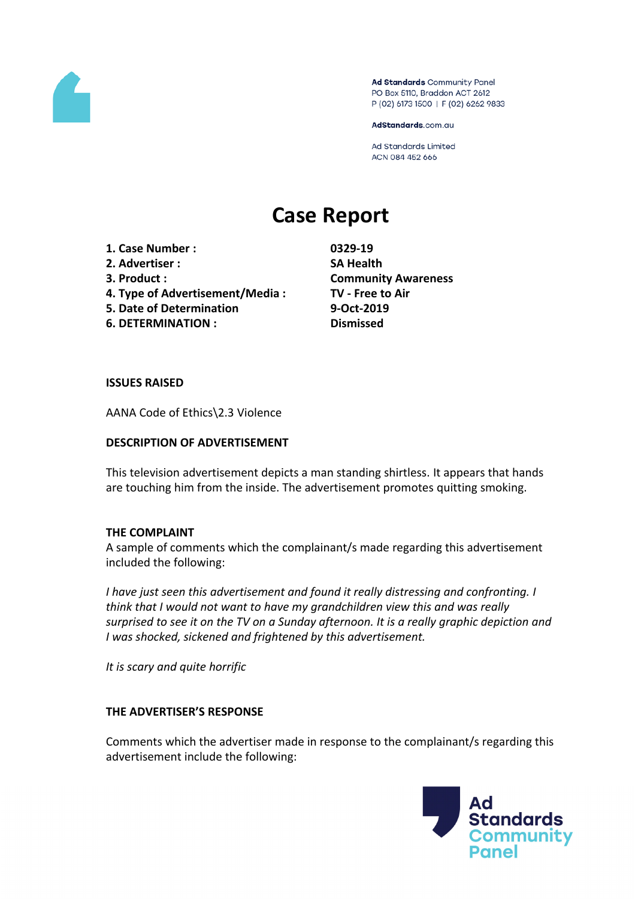

Ad Standards Community Panel PO Box 5110, Braddon ACT 2612 P (02) 6173 1500 | F (02) 6262 9833

AdStandards.com.au

Ad Standards Limited ACN 084 452 666

# **Case Report**

- **1. Case Number : 0329-19**
- **2. Advertiser : SA Health**
- 
- **4. Type of Advertisement/Media : TV - Free to Air**
- **5. Date of Determination 9-Oct-2019**
- **6. DETERMINATION : Dismissed**

**3. Product : Community Awareness**

#### **ISSUES RAISED**

AANA Code of Ethics\2.3 Violence

### **DESCRIPTION OF ADVERTISEMENT**

This television advertisement depicts a man standing shirtless. It appears that hands are touching him from the inside. The advertisement promotes quitting smoking.

#### **THE COMPLAINT**

A sample of comments which the complainant/s made regarding this advertisement included the following:

*I have just seen this advertisement and found it really distressing and confronting. I think that I would not want to have my grandchildren view this and was really surprised to see it on the TV on a Sunday afternoon. It is a really graphic depiction and I was shocked, sickened and frightened by this advertisement.*

*It is scary and quite horrific*

#### **THE ADVERTISER'S RESPONSE**

Comments which the advertiser made in response to the complainant/s regarding this advertisement include the following:

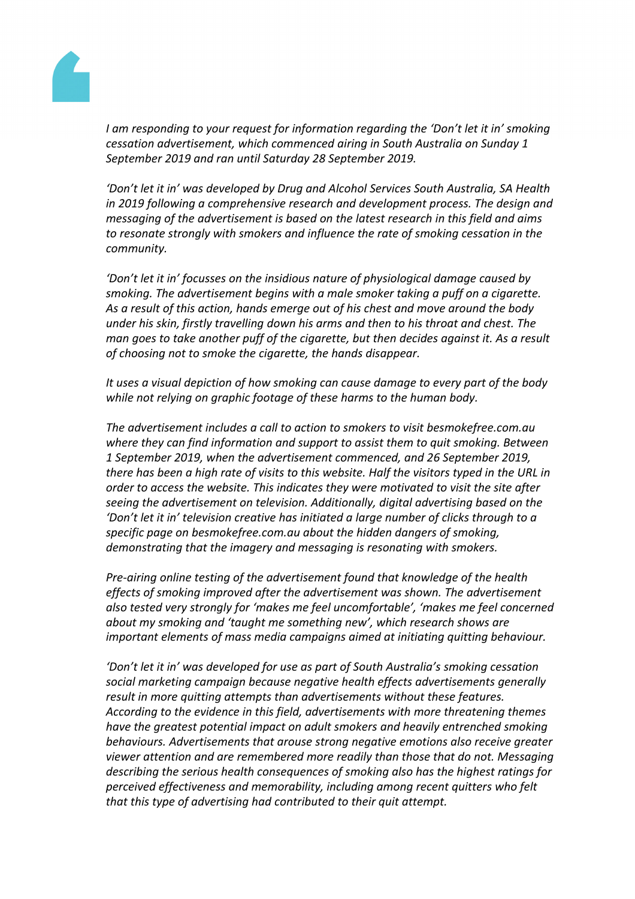

*I am responding to your request for information regarding the 'Don't let it in' smoking cessation advertisement, which commenced airing in South Australia on Sunday 1 September 2019 and ran until Saturday 28 September 2019.*

*'Don't let it in' was developed by Drug and Alcohol Services South Australia, SA Health in 2019 following a comprehensive research and development process. The design and messaging of the advertisement is based on the latest research in this field and aims to resonate strongly with smokers and influence the rate of smoking cessation in the community.*

*'Don't let it in' focusses on the insidious nature of physiological damage caused by smoking. The advertisement begins with a male smoker taking a puff on a cigarette. As a result of this action, hands emerge out of his chest and move around the body under his skin, firstly travelling down his arms and then to his throat and chest. The man goes to take another puff of the cigarette, but then decides against it. As a result of choosing not to smoke the cigarette, the hands disappear.*

*It uses a visual depiction of how smoking can cause damage to every part of the body while not relying on graphic footage of these harms to the human body.*

*The advertisement includes a call to action to smokers to visit besmokefree.com.au where they can find information and support to assist them to quit smoking. Between 1 September 2019, when the advertisement commenced, and 26 September 2019, there has been a high rate of visits to this website. Half the visitors typed in the URL in order to access the website. This indicates they were motivated to visit the site after seeing the advertisement on television. Additionally, digital advertising based on the 'Don't let it in' television creative has initiated a large number of clicks through to a specific page on besmokefree.com.au about the hidden dangers of smoking, demonstrating that the imagery and messaging is resonating with smokers.*

*Pre-airing online testing of the advertisement found that knowledge of the health effects of smoking improved after the advertisement was shown. The advertisement also tested very strongly for 'makes me feel uncomfortable', 'makes me feel concerned about my smoking and 'taught me something new', which research shows are important elements of mass media campaigns aimed at initiating quitting behaviour.*

*'Don't let it in' was developed for use as part of South Australia's smoking cessation social marketing campaign because negative health effects advertisements generally result in more quitting attempts than advertisements without these features. According to the evidence in this field, advertisements with more threatening themes have the greatest potential impact on adult smokers and heavily entrenched smoking behaviours. Advertisements that arouse strong negative emotions also receive greater viewer attention and are remembered more readily than those that do not. Messaging describing the serious health consequences of smoking also has the highest ratings for perceived effectiveness and memorability, including among recent quitters who felt that this type of advertising had contributed to their quit attempt.*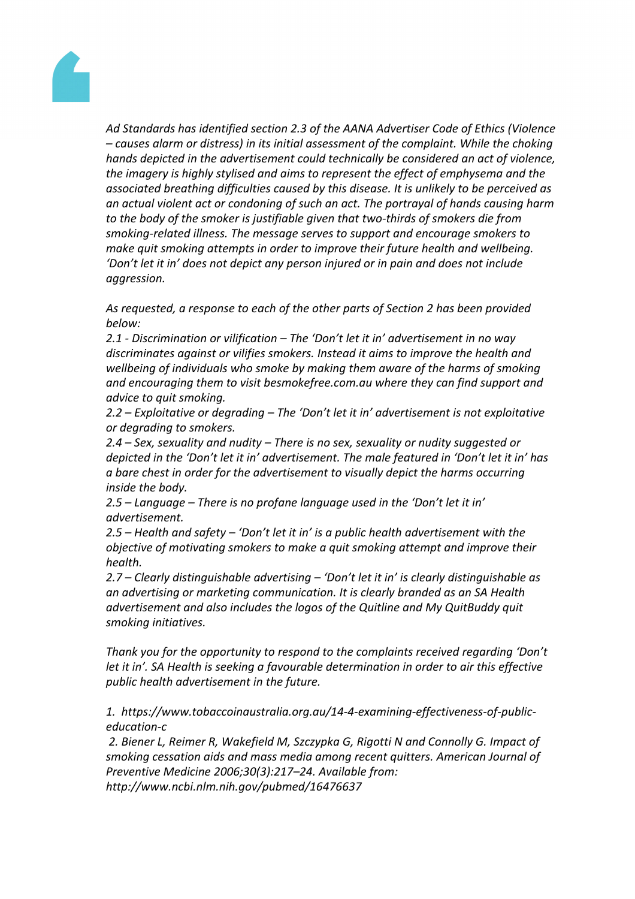

*Ad Standards has identified section 2.3 of the AANA Advertiser Code of Ethics (Violence – causes alarm or distress) in its initial assessment of the complaint. While the choking hands depicted in the advertisement could technically be considered an act of violence, the imagery is highly stylised and aims to represent the effect of emphysema and the associated breathing difficulties caused by this disease. It is unlikely to be perceived as an actual violent act or condoning of such an act. The portrayal of hands causing harm to the body of the smoker is justifiable given that two-thirds of smokers die from smoking-related illness. The message serves to support and encourage smokers to make quit smoking attempts in order to improve their future health and wellbeing. 'Don't let it in' does not depict any person injured or in pain and does not include aggression.*

*As requested, a response to each of the other parts of Section 2 has been provided below:*

*2.1 - Discrimination or vilification – The 'Don't let it in' advertisement in no way discriminates against or vilifies smokers. Instead it aims to improve the health and wellbeing of individuals who smoke by making them aware of the harms of smoking and encouraging them to visit besmokefree.com.au where they can find support and advice to quit smoking.*

*2.2 – Exploitative or degrading – The 'Don't let it in' advertisement is not exploitative or degrading to smokers.*

*2.4 – Sex, sexuality and nudity – There is no sex, sexuality or nudity suggested or depicted in the 'Don't let it in' advertisement. The male featured in 'Don't let it in' has a bare chest in order for the advertisement to visually depict the harms occurring inside the body.*

*2.5 – Language – There is no profane language used in the 'Don't let it in' advertisement.*

*2.5 – Health and safety – 'Don't let it in' is a public health advertisement with the objective of motivating smokers to make a quit smoking attempt and improve their health.*

*2.7 – Clearly distinguishable advertising – 'Don't let it in' is clearly distinguishable as an advertising or marketing communication. It is clearly branded as an SA Health advertisement and also includes the logos of the Quitline and My QuitBuddy quit smoking initiatives.*

*Thank you for the opportunity to respond to the complaints received regarding 'Don't let it in'. SA Health is seeking a favourable determination in order to air this effective public health advertisement in the future.*

*1. https://www.tobaccoinaustralia.org.au/14-4-examining-effectiveness-of-publiceducation-c*

*2. Biener L, Reimer R, Wakefield M, Szczypka G, Rigotti N and Connolly G. Impact of smoking cessation aids and mass media among recent quitters. American Journal of Preventive Medicine 2006;30(3):217–24. Available from:*

*http://www.ncbi.nlm.nih.gov/pubmed/16476637*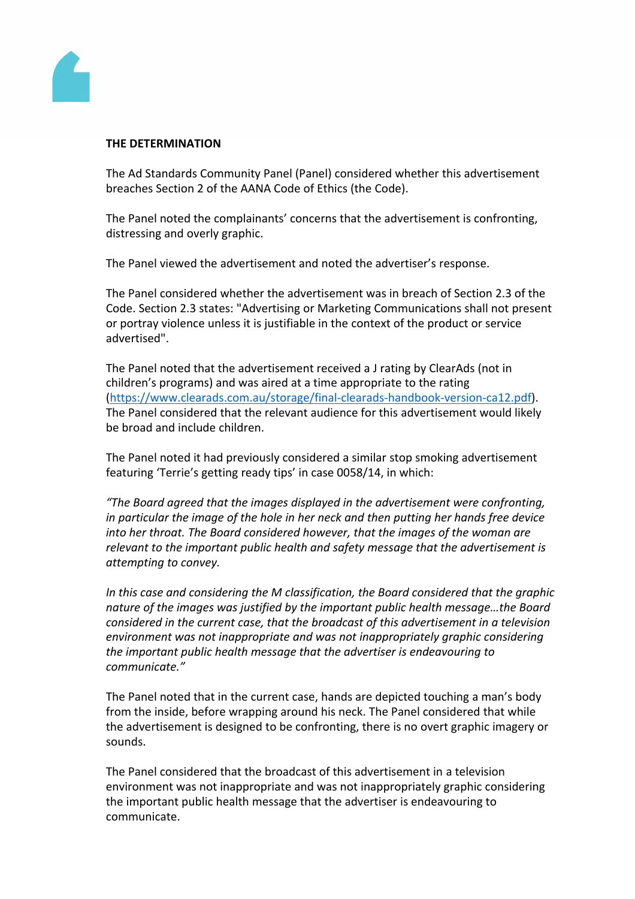## THE DETERMINATION

TheAd Standard Community Panel (Panel) considered whet the advertisement breaches Section 2 offie AANA Code of Ethics (theode).

ThePanel noted thecomplainants'concerns thatthe advertisementisconfronting, distressing and verly graphic.

ThePanel viewed theadvertisement and toted the advertiser's esponse.

ThePanel considered whetherthe advertisement was breach of Section.3 of the Code. Section 2. States: "Advertising or Marketing Communications shall notresent or portray violenceunless it is justifiable in the ontext of the product or service advertised".

ThePanel noted that the advertisement received aratingby ClearAds (noth children'sprograms)andwas aired at a time appropriate the rating [\(https://www.clearads.com.au/storage/final-clearads-handbook-version-ca12](https://www.clearads.com.au/storage/final-clearads-handbook-version-ca12.pdf).pdf). ThePanel considered that the relevant audience for the sertisement would likely be broad and include hildren.

ThePanel noted it had previously considered a simitap smoking advertisement featuring 'Terrie's getting eadytips' in case 0058/14, in which:

"The Boardagreedthat the imagesdisplayed in theadvertisementwere confronting, in particular the image fthe hole irher neck and the putting her hand free device into her throat. The Board considered howeve hat the images of the woman are relevant tothe important public healthand safety messageat the advertisement is attempting to convey.

In this case and considering the Massification the Board considered hat the graphic nature of the images waaustified by the mportant publichealth message...the board consideredin the currentcase, that thebroadcast ofthis advertisement inatelevision environment was not nappropriateand was not inappropriately graphiconsidering the importantpublichealth message that the advertiser is ndeavouring to communicate."

ThePanel noted that inthe current case hands are depicted touching man's body from the inside, before wrappingaround his neck. The Panel considered twhile the advertisement is designed be confronting, there is novert graphicimageryor sounds.

ThePanel considered that the broadcast of this advertisement television environment was not inappropriateand was not nappropriately graphiconsidering the importantpublichealth message thathe advertiserisendeavouring to communicate.